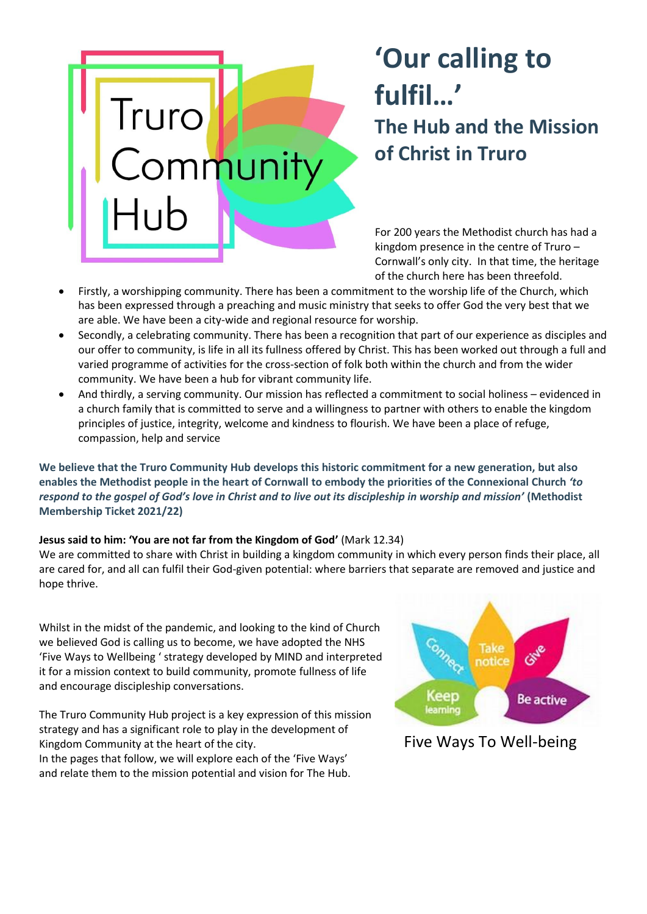

## **'Our calling to fulfil…' The Hub and the Mission of Christ in Truro**

For 200 years the Methodist church has had a kingdom presence in the centre of Truro – Cornwall's only city. In that time, the heritage of the church here has been threefold.

- Firstly, a worshipping community. There has been a commitment to the worship life of the Church, which has been expressed through a preaching and music ministry that seeks to offer God the very best that we are able. We have been a city-wide and regional resource for worship.
- Secondly, a celebrating community. There has been a recognition that part of our experience as disciples and our offer to community, is life in all its fullness offered by Christ. This has been worked out through a full and varied programme of activities for the cross-section of folk both within the church and from the wider community. We have been a hub for vibrant community life.
- And thirdly, a serving community. Our mission has reflected a commitment to social holiness evidenced in a church family that is committed to serve and a willingness to partner with others to enable the kingdom principles of justice, integrity, welcome and kindness to flourish. We have been a place of refuge, compassion, help and service

**We believe that the Truro Community Hub develops this historic commitment for a new generation, but also enables the Methodist people in the heart of Cornwall to embody the priorities of the Connexional Church** *'to respond to the gospel of God's love in Christ and to live out its discipleship in worship and mission'* **(Methodist Membership Ticket 2021/22)**

#### **Jesus said to him: 'You are not far from the Kingdom of God'** (Mark 12.34)

We are committed to share with Christ in building a kingdom community in which every person finds their place, all are cared for, and all can fulfil their God-given potential: where barriers that separate are removed and justice and hope thrive.

Whilst in the midst of the pandemic, and looking to the kind of Church we believed God is calling us to become, we have adopted the NHS 'Five Ways to Wellbeing ' strategy developed by MIND and interpreted it for a mission context to build community, promote fullness of life and encourage discipleship conversations.

The Truro Community Hub project is a key expression of this mission strategy and has a significant role to play in the development of Kingdom Community at the heart of the city.

In the pages that follow, we will explore each of the 'Five Ways' and relate them to the mission potential and vision for The Hub.



Five Ways To Well-being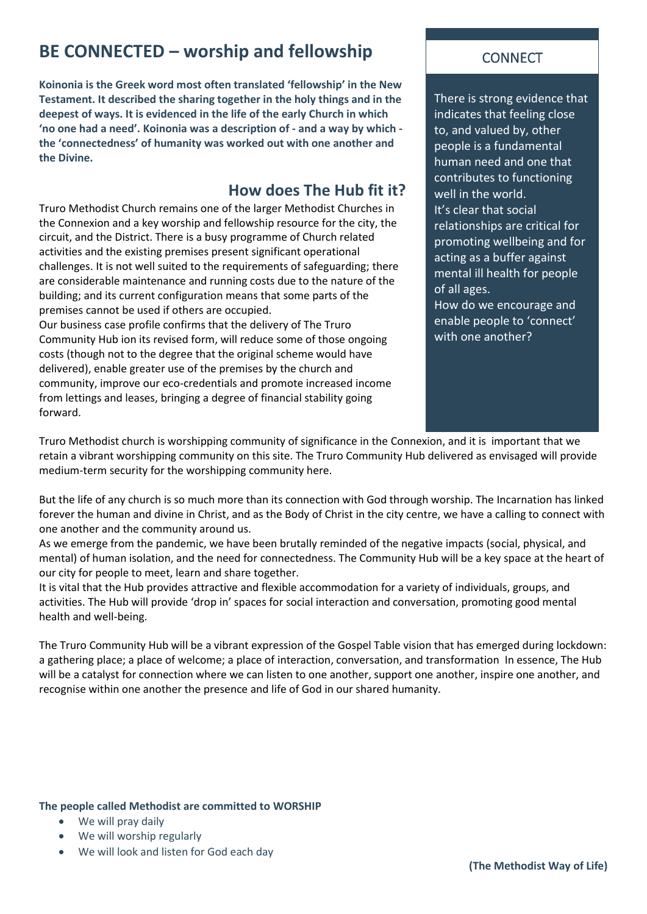## **BE CONNECTED – worship and fellowship**

**Koinonia is the Greek word most often translated 'fellowship' in the New Testament. It described the sharing together in the holy things and in the deepest of ways. It is evidenced in the life of the early Church in which 'no one had a need'. Koinonia was a description of - and a way by which the 'connectedness' of humanity was worked out with one another and the Divine.**

#### **How does The Hub fit it?**

Truro Methodist Church remains one of the larger Methodist Churches in the Connexion and a key worship and fellowship resource for the city, the circuit, and the District. There is a busy programme of Church related activities and the existing premises present significant operational challenges. It is not well suited to the requirements of safeguarding; there are considerable maintenance and running costs due to the nature of the building; and its current configuration means that some parts of the premises cannot be used if others are occupied.

Our business case profile confirms that the delivery of The Truro Community Hub ion its revised form, will reduce some of those ongoing costs (though not to the degree that the original scheme would have delivered), enable greater use of the premises by the church and community, improve our eco-credentials and promote increased income from lettings and leases, bringing a degree of financial stability going forward.

#### **CONNECT**

There is strong evidence that indicates that feeling close to, and valued by, other people is a fundamental human need and one that contributes to functioning well in the world. It's clear that social relationships are critical for promoting wellbeing and for acting as a buffer against mental ill health for people of all ages.

How do we encourage and enable people to 'connect' with one another?

Truro Methodist church is worshipping community of significance in the Connexion, and it is important that we retain a vibrant worshipping community on this site. The Truro Community Hub delivered as envisaged will provide medium-term security for the worshipping community here.

But the life of any church is so much more than its connection with God through worship. The Incarnation has linked forever the human and divine in Christ, and as the Body of Christ in the city centre, we have a calling to connect with one another and the community around us.

As we emerge from the pandemic, we have been brutally reminded of the negative impacts (social, physical, and mental) of human isolation, and the need for connectedness. The Community Hub will be a key space at the heart of our city for people to meet, learn and share together.

It is vital that the Hub provides attractive and flexible accommodation for a variety of individuals, groups, and activities. The Hub will provide 'drop in' spaces for social interaction and conversation, promoting good mental health and well-being.

The Truro Community Hub will be a vibrant expression of the Gospel Table vision that has emerged during lockdown: a gathering place; a place of welcome; a place of interaction, conversation, and transformation In essence, The Hub will be a catalyst for connection where we can listen to one another, support one another, inspire one another, and recognise within one another the presence and life of God in our shared humanity.

#### **The people called Methodist are committed to WORSHIP**

- We will pray daily
- We will worship regularly
- We will look and listen for God each day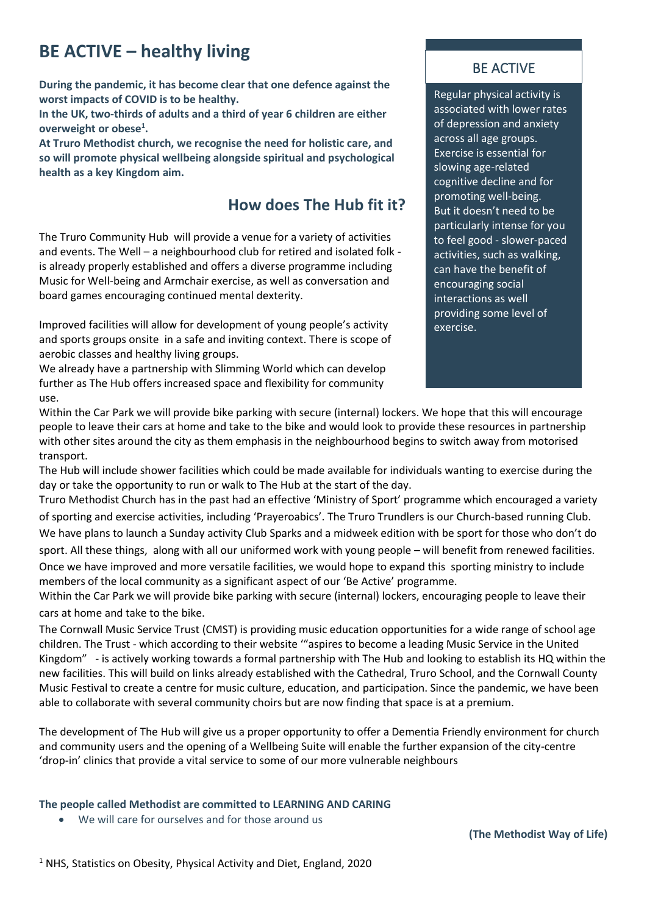## **BE ACTIVE – healthy living**

**During the pandemic, it has become clear that one defence against the worst impacts of COVID is to be healthy.** 

**In the UK, two-thirds of adults and a third of year 6 children are either overweight or obese<sup>1</sup> .**

**At Truro Methodist church, we recognise the need for holistic care, and so will promote physical wellbeing alongside spiritual and psychological health as a key Kingdom aim.**

#### **How does The Hub fit it?**

The Truro Community Hub will provide a venue for a variety of activities and events. The Well – a neighbourhood club for retired and isolated folk is already properly established and offers a diverse programme including Music for Well-being and Armchair exercise, as well as conversation and board games encouraging continued mental dexterity.

Improved facilities will allow for development of young people's activity and sports groups onsite in a safe and inviting context. There is scope of aerobic classes and healthy living groups.

We already have a partnership with Slimming World which can develop further as The Hub offers increased space and flexibility for community use.

#### BE ACTIVE

Regular physical activity is associated with lower rates of depression and anxiety across all age groups. Exercise is essential for slowing age-related cognitive decline and for promoting well-being. But it doesn't need to be particularly intense for you to feel good - slower-paced activities, such as walking, can have the benefit of encouraging social interactions as well providing some level of exercise.

Within the Car Park we will provide bike parking with secure (internal) lockers. We hope that this will encourage people to leave their cars at home and take to the bike and would look to provide these resources in partnership with other sites around the city as them emphasis in the neighbourhood begins to switch away from motorised transport.

The Hub will include shower facilities which could be made available for individuals wanting to exercise during the day or take the opportunity to run or walk to The Hub at the start of the day.

Truro Methodist Church has in the past had an effective 'Ministry of Sport' programme which encouraged a variety of sporting and exercise activities, including 'Prayeroabics'. The Truro Trundlers is our Church-based running Club. We have plans to launch a Sunday activity Club Sparks and a midweek edition with be sport for those who don't do

sport. All these things, along with all our uniformed work with young people – will benefit from renewed facilities. Once we have improved and more versatile facilities, we would hope to expand this sporting ministry to include members of the local community as a significant aspect of our 'Be Active' programme.

Within the Car Park we will provide bike parking with secure (internal) lockers, encouraging people to leave their cars at home and take to the bike.

The Cornwall Music Service Trust (CMST) is providing music education opportunities for a wide range of school age children. The Trust - which according to their website '"aspires to become a leading Music Service in the United Kingdom" - is actively working towards a formal partnership with The Hub and looking to establish its HQ within the new facilities. This will build on links already established with the Cathedral, Truro School, and the Cornwall County Music Festival to create a centre for music culture, education, and participation. Since the pandemic, we have been able to collaborate with several community choirs but are now finding that space is at a premium.

The development of The Hub will give us a proper opportunity to offer a Dementia Friendly environment for church and community users and the opening of a Wellbeing Suite will enable the further expansion of the city-centre 'drop-in' clinics that provide a vital service to some of our more vulnerable neighbours

#### **The people called Methodist are committed to LEARNING AND CARING**

• We will care for ourselves and for those around us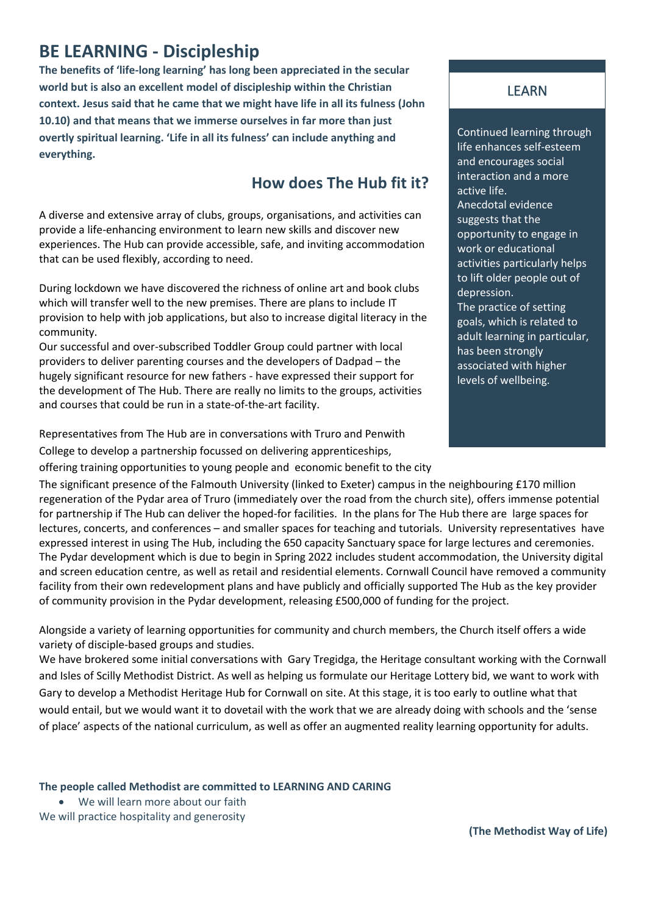## **BE LEARNING - Discipleship**

**The benefits of 'life-long learning' has long been appreciated in the secular world but is also an excellent model of discipleship within the Christian context. Jesus said that he came that we might have life in all its fulness (John 10.10) and that means that we immerse ourselves in far more than just overtly spiritual learning. 'Life in all its fulness' can include anything and everything.**

#### **How does The Hub fit it?**

A diverse and extensive array of clubs, groups, organisations, and activities can provide a life-enhancing environment to learn new skills and discover new experiences. The Hub can provide accessible, safe, and inviting accommodation that can be used flexibly, according to need.

During lockdown we have discovered the richness of online art and book clubs which will transfer well to the new premises. There are plans to include IT provision to help with job applications, but also to increase digital literacy in the community.

Our successful and over-subscribed Toddler Group could partner with local providers to deliver parenting courses and the developers of Dadpad – the hugely significant resource for new fathers - have expressed their support for the development of The Hub. There are really no limits to the groups, activities and courses that could be run in a state-of-the-art facility.

Representatives from The Hub are in conversations with Truro and Penwith

College to develop a partnership focussed on delivering apprenticeships,

offering training opportunities to young people and economic benefit to the city

The significant presence of the Falmouth University (linked to Exeter) campus in the neighbouring £170 million regeneration of the Pydar area of Truro (immediately over the road from the church site), offers immense potential for partnership if The Hub can deliver the hoped-for facilities. In the plans for The Hub there are large spaces for lectures, concerts, and conferences – and smaller spaces for teaching and tutorials. University representatives have expressed interest in using The Hub, including the 650 capacity Sanctuary space for large lectures and ceremonies. The Pydar development which is due to begin in Spring 2022 includes student accommodation, the University digital and screen education centre, as well as retail and residential elements. Cornwall Council have removed a community facility from their own redevelopment plans and have publicly and officially supported The Hub as the key provider of community provision in the Pydar development, releasing £500,000 of funding for the project.

Alongside a variety of learning opportunities for community and church members, the Church itself offers a wide variety of disciple-based groups and studies.

We have brokered some initial conversations with Gary Tregidga, the Heritage consultant working with the Cornwall and Isles of Scilly Methodist District. As well as helping us formulate our Heritage Lottery bid, we want to work with Gary to develop a Methodist Heritage Hub for Cornwall on site. At this stage, it is too early to outline what that would entail, but we would want it to dovetail with the work that we are already doing with schools and the 'sense of place' aspects of the national curriculum, as well as offer an augmented reality learning opportunity for adults.

**The people called Methodist are committed to LEARNING AND CARING**

• We will learn more about our faith

We will practice hospitality and generosity

#### LEARN

Continued learning through life enhances self-esteem and encourages social interaction and a more active life. Anecdotal evidence suggests that the opportunity to engage in work or educational activities particularly helps to lift older people out of depression. The practice of setting

goals, which is related to adult learning in particular, has been strongly associated with higher levels of wellbeing.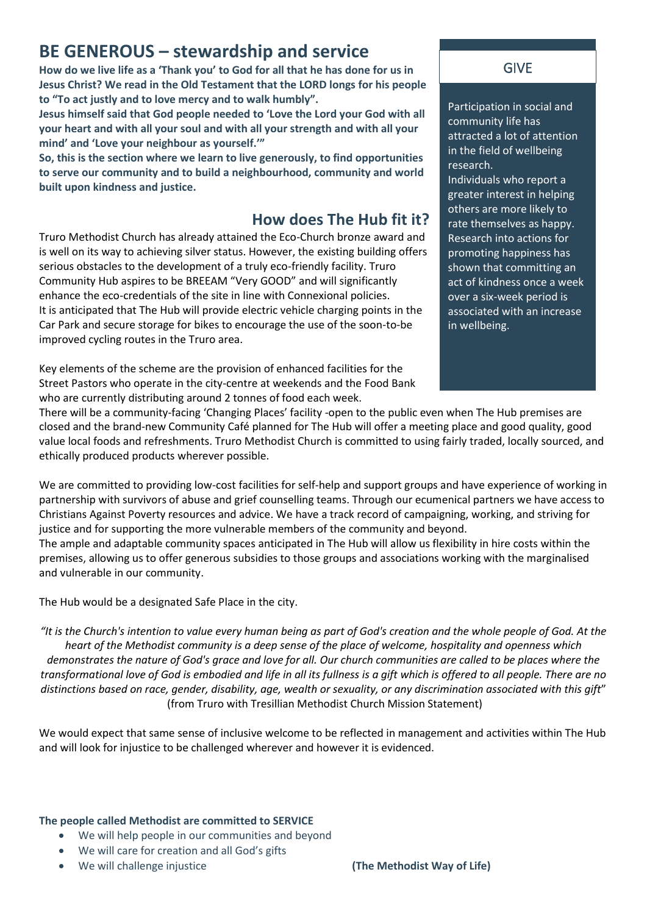## **BE GENEROUS – stewardship and service**

**How do we live life as a 'Thank you' to God for all that he has done for us in Jesus Christ? We read in the Old Testament that the LORD longs for his people to "To act justly and to love mercy and to walk humbly".** 

**Jesus himself said that God people needed to 'Love the Lord your God with all your heart and with all your soul and with all your strength and with all your mind' and 'Love your neighbour as yourself.'"** 

**So, this is the section where we learn to live generously, to find opportunities to serve our community and to build a neighbourhood, community and world built upon kindness and justice.**

#### **How does The Hub fit it?**

Truro Methodist Church has already attained the Eco-Church bronze award and is well on its way to achieving silver status. However, the existing building offers serious obstacles to the development of a truly eco-friendly facility. Truro Community Hub aspires to be BREEAM "Very GOOD" and will significantly enhance the eco-credentials of the site in line with Connexional policies. It is anticipated that The Hub will provide electric vehicle charging points in the Car Park and secure storage for bikes to encourage the use of the soon-to-be improved cycling routes in the Truro area.

Key elements of the scheme are the provision of enhanced facilities for the Street Pastors who operate in the city-centre at weekends and the Food Bank who are currently distributing around 2 tonnes of food each week.

#### GIVE

Participation in social and community life has attracted a lot of attention in the field of wellbeing research.

Individuals who report a greater interest in helping others are more likely to rate themselves as happy. Research into actions for promoting happiness has shown that committing an act of kindness once a week over a six-week period is associated with an increase in wellbeing.

There will be a community-facing 'Changing Places' facility -open to the public even when The Hub premises are closed and the brand-new Community Café planned for The Hub will offer a meeting place and good quality, good value local foods and refreshments. Truro Methodist Church is committed to using fairly traded, locally sourced, and ethically produced products wherever possible.

We are committed to providing low-cost facilities for self-help and support groups and have experience of working in partnership with survivors of abuse and grief counselling teams. Through our ecumenical partners we have access to Christians Against Poverty resources and advice. We have a track record of campaigning, working, and striving for justice and for supporting the more vulnerable members of the community and beyond.

The ample and adaptable community spaces anticipated in The Hub will allow us flexibility in hire costs within the premises, allowing us to offer generous subsidies to those groups and associations working with the marginalised and vulnerable in our community.

The Hub would be a designated Safe Place in the city.

*"It is the Church's intention to value every human being as part of God's creation and the whole people of God. At the heart of the Methodist community is a deep sense of the place of welcome, hospitality and openness which demonstrates the nature of God's grace and love for all. Our church communities are called to be places where the transformational love of God is embodied and life in all its fullness is a gift which is offered to all people. There are no distinctions based on race, gender, disability, age, wealth or sexuality, or any discrimination associated with this gift*" (from Truro with Tresillian Methodist Church Mission Statement)

We would expect that same sense of inclusive welcome to be reflected in management and activities within The Hub and will look for injustice to be challenged wherever and however it is evidenced.

#### **The people called Methodist are committed to SERVICE**

- We will help people in our communities and beyond
- We will care for creation and all God's gifts
- We will challenge injustice **(The Methodist Way of Life)**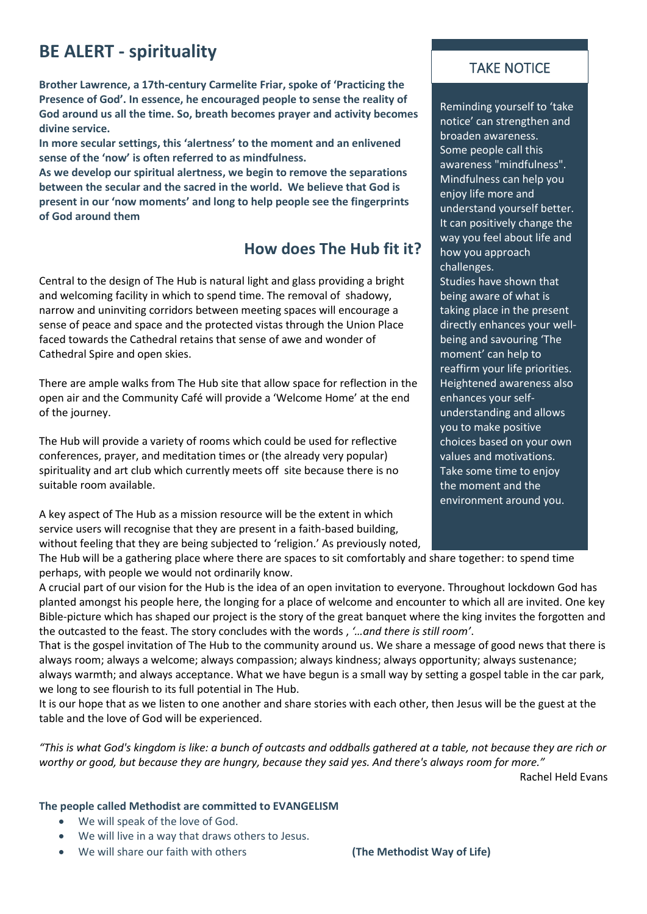## **BE ALERT - spirituality**

**Brother Lawrence, a 17th-century [Carmelite](https://en.wikipedia.org/wiki/Discalced_Carmelite) [Friar,](https://en.wikipedia.org/wiki/Friar) spoke of 'Practicing the Presence of God'. In essence, he encouraged people to sense the reality of God around us all the time. So, breath becomes prayer and activity becomes divine service.**

**In more secular settings, this 'alertness' to the moment and an enlivened sense of the 'now' is often referred to as mindfulness.** 

**As we develop our spiritual alertness, we begin to remove the separations between the secular and the sacred in the world. We believe that God is present in our 'now moments' and long to help people see the fingerprints of God around them**

#### **How does The Hub fit it?**

Central to the design of The Hub is natural light and glass providing a bright and welcoming facility in which to spend time. The removal of shadowy, narrow and uninviting corridors between meeting spaces will encourage a sense of peace and space and the protected vistas through the Union Place faced towards the Cathedral retains that sense of awe and wonder of Cathedral Spire and open skies.

There are ample walks from The Hub site that allow space for reflection in the open air and the Community Café will provide a 'Welcome Home' at the end of the journey.

The Hub will provide a variety of rooms which could be used for reflective conferences, prayer, and meditation times or (the already very popular) spirituality and art club which currently meets off site because there is no suitable room available.

A key aspect of The Hub as a mission resource will be the extent in which service users will recognise that they are present in a faith-based building, without feeling that they are being subjected to 'religion.' As previously noted,

#### TAKE NOTICE

Reminding yourself to 'take notice' can strengthen and broaden awareness. Some people call this awareness "mindfulness". Mindfulness can help you enjoy life more and understand yourself better. It can positively change the way you feel about life and how you approach challenges.

Studies have shown that being aware of what is taking place in the present directly enhances your wellbeing and savouring 'The moment' can help to reaffirm your life priorities. Heightened awareness also enhances your selfunderstanding and allows you to make positive choices based on your own values and motivations. Take some time to enjoy the moment and the environment around you.

The Hub will be a gathering place where there are spaces to sit comfortably and share together: to spend time perhaps, with people we would not ordinarily know.

A crucial part of our vision for the Hub is the idea of an open invitation to everyone. Throughout lockdown God has planted amongst his people here, the longing for a place of welcome and encounter to which all are invited. One key Bible-picture which has shaped our project is the story of the great banquet where the king invites the forgotten and the outcasted to the feast. The story concludes with the words , *'…and there is still room'*.

That is the gospel invitation of The Hub to the community around us. We share a message of good news that there is always room; always a welcome; always compassion; always kindness; always opportunity; always sustenance; always warmth; and always acceptance. What we have begun is a small way by setting a gospel table in the car park, we long to see flourish to its full potential in The Hub.

It is our hope that as we listen to one another and share stories with each other, then Jesus will be the guest at the table and the love of God will be experienced.

*"This is what God's kingdom is like: a bunch of outcasts and oddballs gathered at a table, not because they are rich or worthy or good, but because they are hungry, because they said yes. And there's always room for more."*

Rachel Held Evans

#### **The people called Methodist are committed to EVANGELISM**

- We will speak of the love of God.
- We will live in a way that draws others to Jesus.
- We will share our faith with others **(The Methodist Way of Life)**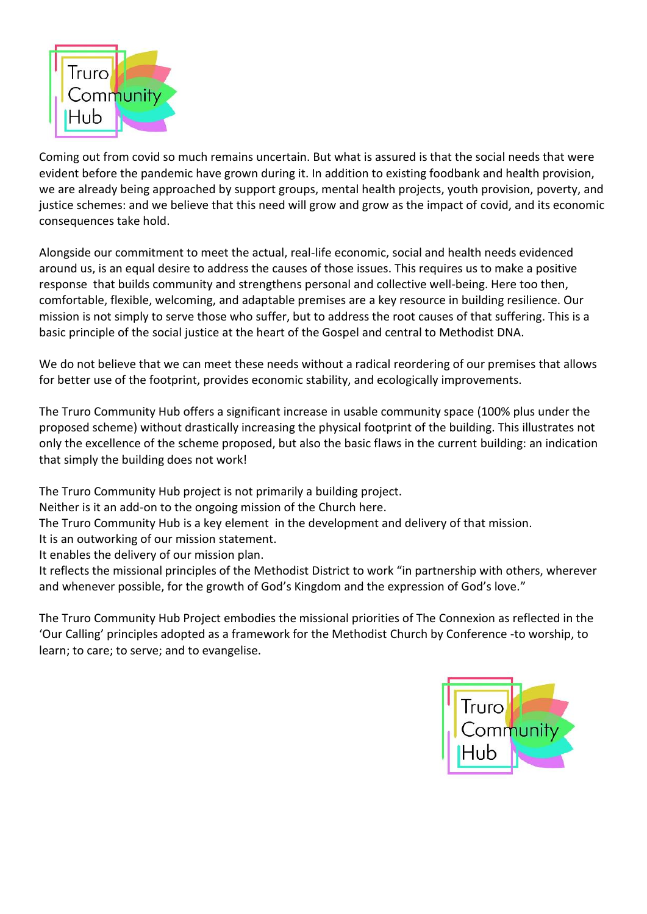

Coming out from covid so much remains uncertain. But what is assured is that the social needs that were evident before the pandemic have grown during it. In addition to existing foodbank and health provision, we are already being approached by support groups, mental health projects, youth provision, poverty, and justice schemes: and we believe that this need will grow and grow as the impact of covid, and its economic consequences take hold.

Alongside our commitment to meet the actual, real-life economic, social and health needs evidenced around us, is an equal desire to address the causes of those issues. This requires us to make a positive response that builds community and strengthens personal and collective well-being. Here too then, comfortable, flexible, welcoming, and adaptable premises are a key resource in building resilience. Our mission is not simply to serve those who suffer, but to address the root causes of that suffering. This is a basic principle of the social justice at the heart of the Gospel and central to Methodist DNA.

We do not believe that we can meet these needs without a radical reordering of our premises that allows for better use of the footprint, provides economic stability, and ecologically improvements.

The Truro Community Hub offers a significant increase in usable community space (100% plus under the proposed scheme) without drastically increasing the physical footprint of the building. This illustrates not only the excellence of the scheme proposed, but also the basic flaws in the current building: an indication that simply the building does not work!

The Truro Community Hub project is not primarily a building project.

Neither is it an add-on to the ongoing mission of the Church here.

The Truro Community Hub is a key element in the development and delivery of that mission.

It is an outworking of our mission statement.

It enables the delivery of our mission plan.

It reflects the missional principles of the Methodist District to work "in partnership with others, wherever and whenever possible, for the growth of God's Kingdom and the expression of God's love."

The Truro Community Hub Project embodies the missional priorities of The Connexion as reflected in the 'Our Calling' principles adopted as a framework for the Methodist Church by Conference -to worship, to learn; to care; to serve; and to evangelise.